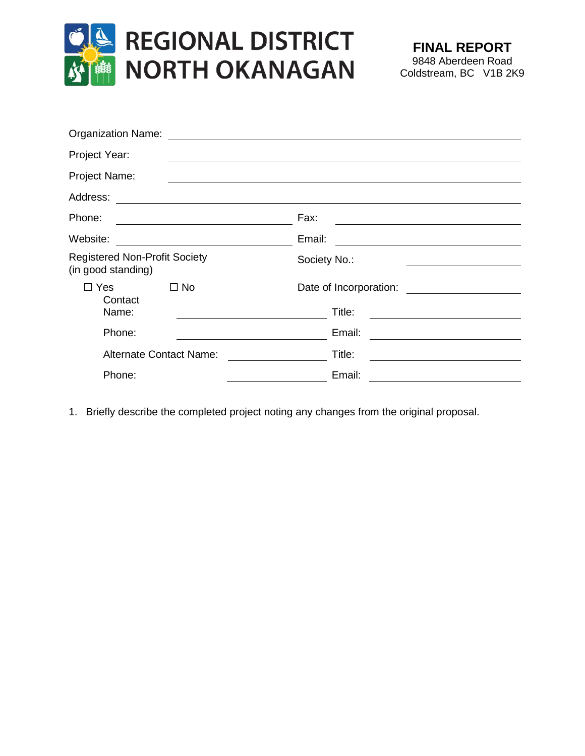

| <b>Organization Name:</b>                                  |                                                                                                                                 |
|------------------------------------------------------------|---------------------------------------------------------------------------------------------------------------------------------|
| Project Year:                                              |                                                                                                                                 |
| Project Name:                                              |                                                                                                                                 |
| Address:                                                   |                                                                                                                                 |
| Phone:                                                     | Fax:                                                                                                                            |
| Website:                                                   | Email:<br><u> 1989 - Jan Stern Stern Stern Stern Stern Stern Stern Stern Stern Stern Stern Stern Stern Stern Stern Stern St</u> |
| <b>Registered Non-Profit Society</b><br>(in good standing) | Society No.:                                                                                                                    |
| $\Box$ Yes<br>$\Box$ No                                    | Date of Incorporation:                                                                                                          |
| Contact<br>Name:                                           | Title:                                                                                                                          |
| Phone:                                                     | Email:                                                                                                                          |
| <b>Alternate Contact Name:</b>                             | Title:                                                                                                                          |
| Phone:                                                     | Email:                                                                                                                          |

1. Briefly describe the completed project noting any changes from the original proposal.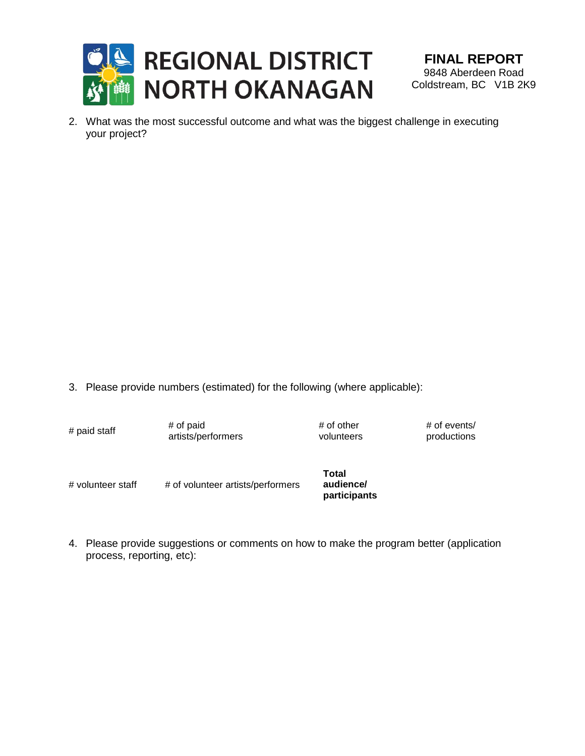

2. What was the most successful outcome and what was the biggest challenge in executing your project?

3. Please provide numbers (estimated) for the following (where applicable):

- $#$  paid staff  $#$  of paid artists/performers # of other volunteers # of events/ productions # volunteer staff # of volunteer artists/performers **Total audience/ participants**
- 4. Please provide suggestions or comments on how to make the program better (application process, reporting, etc):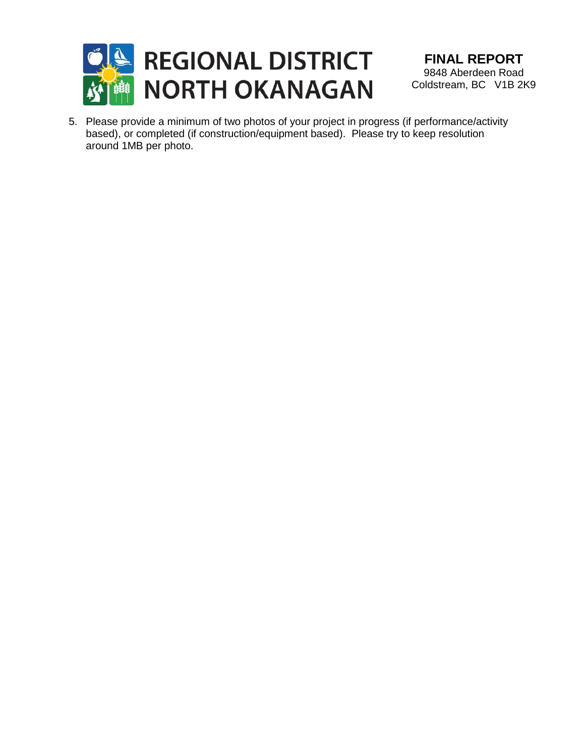

**FINAL REPORT** 9848 Aberdeen Road Coldstream, BC V1B 2K9

5. Please provide a minimum of two photos of your project in progress (if performance/activity based), or completed (if construction/equipment based). Please try to keep resolution around 1MB per photo.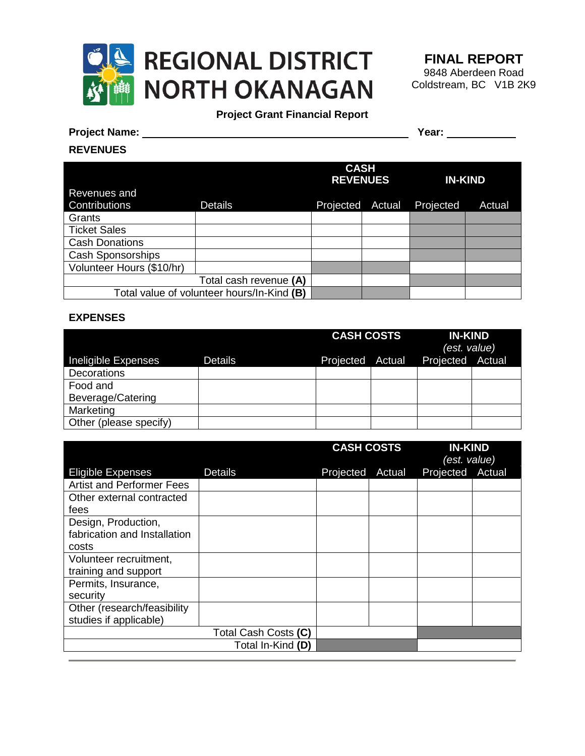

**FINAL REPORT** 9848 Aberdeen Road Coldstream, BC V1B 2K9

## **Project Grant Financial Report**

## **Project Name: Year:**

## **REVENUES**

|                           |                                            | <b>CASH</b><br><b>REVENUES</b> |        | <b>IN-KIND</b> |        |
|---------------------------|--------------------------------------------|--------------------------------|--------|----------------|--------|
| Revenues and              |                                            |                                |        |                |        |
| Contributions             | <b>Details</b>                             | Projected                      | Actual | Projected      | Actual |
| Grants                    |                                            |                                |        |                |        |
| <b>Ticket Sales</b>       |                                            |                                |        |                |        |
| <b>Cash Donations</b>     |                                            |                                |        |                |        |
| <b>Cash Sponsorships</b>  |                                            |                                |        |                |        |
| Volunteer Hours (\$10/hr) |                                            |                                |        |                |        |
|                           | Total cash revenue (A)                     |                                |        |                |        |
|                           | Total value of volunteer hours/In-Kind (B) |                                |        |                |        |

## **EXPENSES**

|                        |                | <b>CASH COSTS</b><br><b>IN-KIND</b><br>(est. value) |        |                  |  |
|------------------------|----------------|-----------------------------------------------------|--------|------------------|--|
| Ineligible Expenses    | <b>Details</b> | Projected                                           | Actual | Projected Actual |  |
| Decorations            |                |                                                     |        |                  |  |
| Food and               |                |                                                     |        |                  |  |
| Beverage/Catering      |                |                                                     |        |                  |  |
| Marketing              |                |                                                     |        |                  |  |
| Other (please specify) |                |                                                     |        |                  |  |

|                                  |                      | <b>CASH COSTS</b><br><b>IN-KIND</b><br>(est. value) |        |           |        |
|----------------------------------|----------------------|-----------------------------------------------------|--------|-----------|--------|
| <b>Eligible Expenses</b>         | <b>Details</b>       | Projected                                           | Actual | Projected | Actual |
| <b>Artist and Performer Fees</b> |                      |                                                     |        |           |        |
| Other external contracted        |                      |                                                     |        |           |        |
| fees                             |                      |                                                     |        |           |        |
| Design, Production,              |                      |                                                     |        |           |        |
| fabrication and Installation     |                      |                                                     |        |           |        |
| costs                            |                      |                                                     |        |           |        |
| Volunteer recruitment,           |                      |                                                     |        |           |        |
| training and support             |                      |                                                     |        |           |        |
| Permits, Insurance,              |                      |                                                     |        |           |        |
| security                         |                      |                                                     |        |           |        |
| Other (research/feasibility      |                      |                                                     |        |           |        |
| studies if applicable)           |                      |                                                     |        |           |        |
|                                  | Total Cash Costs (C) |                                                     |        |           |        |
|                                  | Total In-Kind (D)    |                                                     |        |           |        |